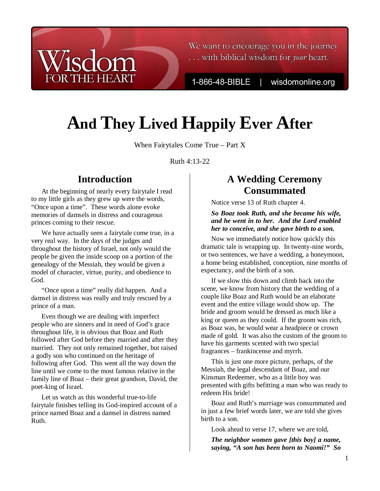We want to encourage you in the journey ... with biblical wisdom for your heart.

1-866-48-BIBLE

wisdomonline.org

# **And They Lived Happily Ever After**

When Fairytales Come True – Part X

Ruth 4:13-22

## **Introduction**

isdom

**THE HEART** 

At the beginning of nearly every fairytale I read to my little girls as they grew up were the words, "Once upon a time". These words alone evoke memories of damsels in distress and courageous princes coming to their rescue.

We have actually seen a fairytale come true, in a very real way. In the days of the judges and throughout the history of Israel, not only would the people be given the inside scoop on a portion of the genealogy of the Messiah, they would be given a model of character, virtue, purity, and obedience to God.

"Once upon a time" really did happen. And a damsel in distress was really and truly rescued by a prince of a man.

Even though we are dealing with imperfect people who are sinners and in need of God's grace throughout life, it is obvious that Boaz and Ruth followed after God before they married and after they married. They not only remained together, but raised a godly son who continued on the heritage of following after God. This went all the way down the line until we come to the most famous relative in the family line of Boaz – their great grandson, David, the poet-king of Israel.

Let us watch as this wonderful true-to-life fairytale finishes telling its God-inspired account of a prince named Boaz and a damsel in distress named Ruth.

## **A Wedding Ceremony Consummated**

Notice verse 13 of Ruth chapter 4.

#### *So Boaz took Ruth, and she became his wife, and he went in to her. And the Lord enabled her to conceive, and she gave birth to a son.*

Now we immediately notice how quickly this dramatic tale is wrapping up. In twenty-nine words, or two sentences, we have a wedding, a honeymoon, a home being established, conception, nine months of expectancy, and the birth of a son.

If we slow this down and climb back into the scene, we know from history that the wedding of a couple like Boaz and Ruth would be an elaborate event and the entire village would show up. The bride and groom would be dressed as much like a king or queen as they could. If the groom was rich, as Boaz was, he would wear a headpiece or crown made of gold. It was also the custom of the groom to have his garments scented with two special fragrances – frankincense and myrrh.

This is just one more picture, perhaps, of the Messiah, the legal descendant of Boaz, and our Kinsman Redeemer, who as a little boy was presented with gifts befitting a man who was ready to redeem His bride!

Boaz and Ruth's marriage was consummated and in just a few brief words later, we are told she gives birth to a son.

Look ahead to verse 17, where we are told,

*The neighbor women gave [this boy] a name, saying, "A son has been born to Naomi!" So*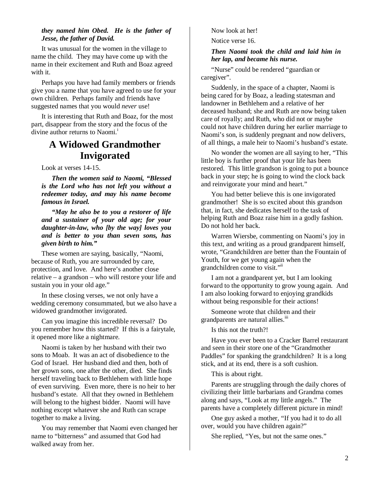#### *they named him Obed. He is the father of Jesse, the father of David.*

It was unusual for the women in the village to name the child. They may have come up with the name in their excitement and Ruth and Boaz agreed with it.

Perhaps you have had family members or friends give you a name that you have agreed to use for your own children. Perhaps family and friends have suggested names that you would *never* use!

It is interesting that Ruth and Boaz, for the most part, disappear from the story and the focus of the divine author returns to Naomi.<sup>1</sup>

## **A Widowed Grandmother Invigorated**

Look at verses 14-15.

*Then the women said to Naomi, "Blessed is the Lord who has not left you without a redeemer today, and may his name become famous in Israel.* 

*"May he also be to you a restorer of life and a sustainer of your old age; for your daughter-in-law, who [by the way] loves you and is better to you than seven sons, has given birth to him."* 

These women are saying, basically, "Naomi, because of Ruth, you are surrounded by care, protection, and love. And here's another close relative – a grandson – who will restore your life and sustain you in your old age."

In these closing verses, we not only have a wedding ceremony consummated, but we also have a widowed grandmother invigorated.

Can you imagine this incredible reversal? Do you remember how this started? If this is a fairytale, it opened more like a nightmare.

Naomi is taken by her husband with their two sons to Moab. It was an act of disobedience to the God of Israel. Her husband died and then, both of her grown sons, one after the other, died. She finds herself traveling back to Bethlehem with little hope of even surviving. Even more, there is no heir to her husband's estate. All that they owned in Bethlehem will belong to the highest bidder. Naomi will have nothing except whatever she and Ruth can scrape together to make a living.

You may remember that Naomi even changed her name to "bitterness" and assumed that God had walked away from her.

Now look at her!

Notice verse 16.

#### *Then Naomi took the child and laid him in her lap, and became his nurse.*

"Nurse" could be rendered "guardian or caregiver".

Suddenly, in the space of a chapter, Naomi is being cared for by Boaz, a leading statesman and landowner in Bethlehem and a relative of her deceased husband; she and Ruth are now being taken care of royally; and Ruth, who did not or maybe could not have children during her earlier marriage to Naomi's son, is suddenly pregnant and now delivers, of all things, a male heir to Naomi's husband's estate.

No wonder the women are all saying to her, "This little boy is further proof that your life has been restored. This little grandson is going to put a bounce back in your step; he is going to wind the clock back and reinvigorate your mind and heart."

You had better believe this is one invigorated grandmother! She is so excited about this grandson that, in fact, she dedicates herself to the task of helping Ruth and Boaz raise him in a godly fashion. Do not hold her back.

Warren Wiersbe, commenting on Naomi's joy in this text, and writing as a proud grandparent himself, wrote, "Grandchildren are better than the Fountain of Youth, for we get young again when the grandchildren come to visit."ii

I am not a grandparent yet, but I am looking forward to the opportunity to grow young again. And I am also looking forward to enjoying grandkids without being responsible for their actions!

Someone wrote that children and their grandparents are natural allies.<sup>iii</sup>

Is this not the truth?!

Have you ever been to a Cracker Barrel restaurant and seen in their store one of the "Grandmother Paddles" for spanking the grandchildren? It is a long stick, and at its end, there is a soft cushion.

This is about right.

Parents are struggling through the daily chores of civilizing their little barbarians and Grandma comes along and says, "Look at my little angels." The parents have a completely different picture in mind!

One guy asked a mother, "If you had it to do all over, would you have children again?"

She replied, "Yes, but not the same ones."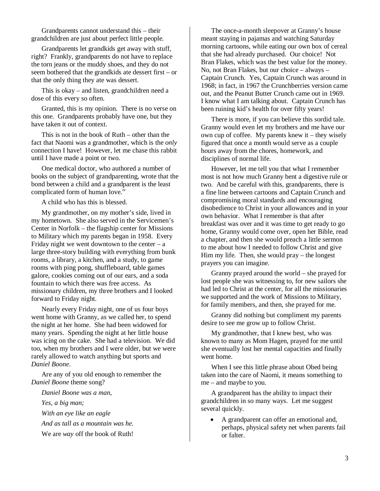Grandparents cannot understand this – their grandchildren are just about perfect little people.

Grandparents let grandkids get away with stuff, right? Frankly, grandparents do not have to replace the torn jeans or the muddy shoes, and they do not seem bothered that the grandkids ate dessert first – or that the only thing they ate was dessert.

This is okay – and listen, grandchildren need a dose of this every so often.

Granted, this is my opinion. There is no verse on this one. Grandparents probably have one, but they have taken it out of context.

This is not in the book of Ruth – other than the fact that Naomi was a grandmother, which is the *only* connection I have! However, let me chase this rabbit until I have made a point or two.

One medical doctor, who authored a number of books on the subject of grandparenting, wrote that the bond between a child and a grandparent is the least complicated form of human love.<sup>10</sup>

A child who has this is blessed.

My grandmother, on my mother's side, lived in my hometown. She also served in the Servicemen's Center in Norfolk – the flagship center for Missions to Military which my parents began in 1958. Every Friday night we went downtown to the center  $- a$ large three-story building with everything from bunk rooms, a library, a kitchen, and a study, to game rooms with ping pong, shuffleboard, table games galore, cookies coming out of our ears, and a soda fountain to which there was free access. As missionary children, my three brothers and I looked forward to Friday night.

Nearly every Friday night, one of us four boys went home with Granny, as we called her, to spend the night at her home. She had been widowed for many years. Spending the night at her little house was icing on the cake. She had a television. We did too, when my brothers and I were older, but we were rarely allowed to watch anything but sports and *Daniel Boone*.

Are any of you old enough to remember the *Daniel Boone* theme song?

*Daniel Boone was a man, Yes, a big man; With an eye like an eagle And as tall as a mountain was he.*  We are *way* off the book of Ruth!

The once-a-month sleepover at Granny's house meant staying in pajamas and watching Saturday morning cartoons, while eating our own box of cereal that she had already purchased. Our choice! Not Bran Flakes, which was the best value for the money. No, not Bran Flakes, but our choice – always – Captain Crunch. Yes, Captain Crunch was around in 1968; in fact, in 1967 the Crunchberries version came out, and the Peanut Butter Crunch came out in 1969. I know what I am talking about. Captain Crunch has been ruining kid's health for over fifty years!

There is more, if you can believe this sordid tale. Granny would even let my brothers and me have our own cup of coffee. My parents knew it – they wisely figured that once a month would serve as a couple hours away from the chores, homework, and disciplines of normal life.

However, let me tell you that what I remember most is not how much Granny bent a digestive rule or two. And be careful with this, grandparents, there is a fine line between cartoons and Captain Crunch and compromising moral standards and encouraging disobedience to Christ in your allowances and in your own behavior. What I remember is that after breakfast was over and it was time to get ready to go home, Granny would come over, open her Bible, read a chapter, and then she would preach a little sermon to me about how I needed to follow Christ and give Him my life. Then, she would pray – the longest prayers you can imagine.

Granny prayed around the world – she prayed for lost people she was witnessing to, for new sailors she had led to Christ at the center, for all the missionaries we supported and the work of Missions to Military, for family members, and then, she prayed for me.

Granny did nothing but compliment my parents desire to see me grow up to follow Christ.

My grandmother, that I knew best, who was known to many as Mom Hagen, prayed for me until she eventually lost her mental capacities and finally went home.

When I see this little phrase about Obed being taken into the care of Naomi, it means something to me – and maybe to you.

A grandparent has the ability to impact their grandchildren in so many ways. Let me suggest several quickly.

• A grandparent can offer an emotional and, perhaps, physical safety net when parents fail or falter.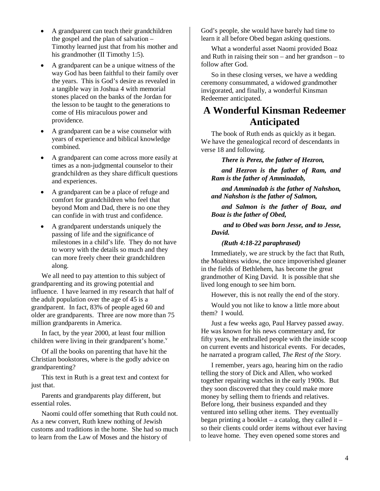- A grandparent can teach their grandchildren the gospel and the plan of salvation – Timothy learned just that from his mother and his grandmother (II Timothy 1:5).
- A grandparent can be a unique witness of the way God has been faithful to their family over the years. This is God's desire as revealed in a tangible way in Joshua 4 with memorial stones placed on the banks of the Jordan for the lesson to be taught to the generations to come of His miraculous power and providence.
- A grandparent can be a wise counselor with years of experience and biblical knowledge combined.
- A grandparent can come across more easily at times as a non-judgmental counselor to their grandchildren as they share difficult questions and experiences.
- A grandparent can be a place of refuge and comfort for grandchildren who feel that beyond Mom and Dad, there is no one they can confide in with trust and confidence.
- A grandparent understands uniquely the passing of life and the significance of milestones in a child's life. They do not have to worry with the details so much and they can more freely cheer their grandchildren along.

We all need to pay attention to this subject of grandparenting and its growing potential and influence. I have learned in my research that half of the adult population over the age of 45 is a grandparent. In fact, 83% of people aged 60 and older are grandparents. Three are now more than 75 million grandparents in America.

In fact, by the year 2000, at least four million children were living in their grandparent's home. $v$ 

Of all the books on parenting that have hit the Christian bookstores, where is the godly advice on grandparenting?

This text in Ruth is a great text and context for just that.

Parents and grandparents play different, but essential roles.

Naomi could offer something that Ruth could not. As a new convert, Ruth knew nothing of Jewish customs and traditions in the home. She had so much to learn from the Law of Moses and the history of

God's people, she would have barely had time to learn it all before Obed began asking questions.

What a wonderful asset Naomi provided Boaz and Ruth in raising their son – and her grandson – to follow after God.

So in these closing verses, we have a wedding ceremony consummated, a widowed grandmother invigorated, and finally, a wonderful Kinsman Redeemer anticipated.

## **A Wonderful Kinsman Redeemer Anticipated**

The book of Ruth ends as quickly as it began. We have the genealogical record of descendants in verse 18 and following.

#### *There is Perez, the father of Hezron,*

*and Hezron is the father of Ram, and Ram is the father of Amminadab,* 

*and Amminadab is the father of Nahshon, and Nahshon is the father of Salmon,* 

*and Salmon is the father of Boaz, and Boaz is the father of Obed,* 

 *and to Obed was born Jesse, and to Jesse, David.* 

#### *(Ruth 4:18-22 paraphrased)*

Immediately, we are struck by the fact that Ruth, the Moabitess widow, the once impoverished gleaner in the fields of Bethlehem, has become the great grandmother of King David. It is possible that she lived long enough to see him born.

However, this is not really the end of the story.

Would you not like to know a little more about them? I would.

Just a few weeks ago, Paul Harvey passed away. He was known for his news commentary and, for fifty years, he enthralled people with the inside scoop on current events and historical events. For decades, he narrated a program called, *The Rest of the Story*.

I remember, years ago, hearing him on the radio telling the story of Dick and Allen, who worked together repairing watches in the early 1900s. But they soon discovered that they could make more money by selling them to friends and relatives. Before long, their business expanded and they ventured into selling other items. They eventually began printing a booklet – a catalog, they called it – so their clients could order items without ever having to leave home. They even opened some stores and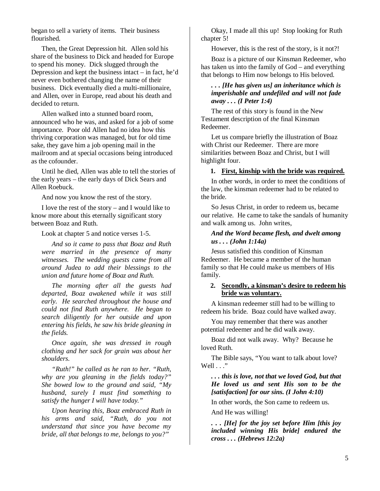began to sell a variety of items. Their business flourished.

Then, the Great Depression hit. Allen sold his share of the business to Dick and headed for Europe to spend his money. Dick slugged through the Depression and kept the business intact – in fact, he'd never even bothered changing the name of their business. Dick eventually died a multi-millionaire, and Allen, over in Europe, read about his death and decided to return.

Allen walked into a stunned board room, announced who he was, and asked for a job of some importance. Poor old Allen had no idea how this thriving corporation was managed, but for old time sake, they gave him a job opening mail in the mailroom and at special occasions being introduced as the cofounder.

Until he died, Allen was able to tell the stories of the early years – the early days of Dick Sears and Allen Roebuck.

And now you know the rest of the story.

I love the rest of the story – and I would like to know more about this eternally significant story between Boaz and Ruth.

Look at chapter 5 and notice verses 1-5.

*And so it came to pass that Boaz and Ruth were married in the presence of many witnesses. The wedding guests came from all around Judea to add their blessings to the union and future home of Boaz and Ruth.* 

*The morning after all the guests had departed, Boaz awakened while it was still early. He searched throughout the house and could not find Ruth anywhere. He began to search diligently for her outside and upon entering his fields, he saw his bride gleaning in the fields.* 

*Once again, she was dressed in rough clothing and her sack for grain was about her shoulders.* 

*"Ruth!" he called as he ran to her. "Ruth, why are you gleaning in the fields today?" She bowed low to the ground and said, "My husband, surely I must find something to satisfy the hunger I will have today."* 

*Upon hearing this, Boaz embraced Ruth in his arms and said, "Ruth, do you not understand that since you have become my bride, all that belongs to me, belongs to you?"* 

Okay, I made all this up! Stop looking for Ruth chapter 5!

However, this is the rest of the story, is it not?!

Boaz is a picture of our Kinsman Redeemer, who has taken us into the family of God – and everything that belongs to Him now belongs to His beloved.

#### *. . . [He has given us] an inheritance which is imperishable and undefiled and will not fade away . . . (I Peter 1:4)*

The rest of this story is found in the New Testament description of *the* final Kinsman Redeemer.

Let us compare briefly the illustration of Boaz with Christ our Redeemer. There are more similarities between Boaz and Christ, but I will highlight four.

#### **1. First, kinship with the bride was required.**

In other words, in order to meet the conditions of the law, the kinsman redeemer had to be related to the bride.

So Jesus Christ, in order to redeem us, became our relative. He came to take the sandals of humanity and walk among us. John writes,

#### *And the Word became flesh, and dwelt among us . . . (John 1:14a)*

Jesus satisfied this condition of Kinsman Redeemer. He became a member of the human family so that He could make us members of His family.

#### **2. Secondly, a kinsman's desire to redeem his bride was voluntary.**

A kinsman redeemer still had to be willing to redeem his bride. Boaz could have walked away.

You may remember that there was another potential redeemer and he did walk away.

Boaz did not walk away. Why? Because he loved Ruth.

The Bible says, "You want to talk about love? Well . . ."

#### *. . . this is love, not that we loved God, but that He loved us and sent His son to be the [satisfaction] for our sins. (I John 4:10)*

In other words, the Son came to redeem us.

And He was willing!

*. . . [He] for the joy set before Him [this joy included winning His bride] endured the cross . . . (Hebrews 12:2a)*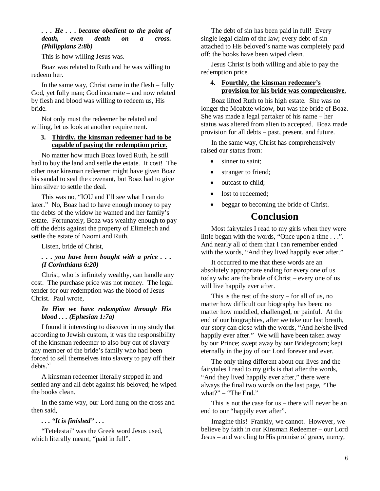#### *. . . He . . . became obedient to the point of death, even death on a cross. (Philippians 2:8b)*

This is how willing Jesus was.

Boaz was related to Ruth and he was willing to redeem her.

In the same way, Christ came in the flesh – fully God, yet fully man; God incarnate – and now related by flesh and blood was willing to redeem us, His bride.

Not only must the redeemer be related and willing, let us look at another requirement.

#### **3. Thirdly, the kinsman redeemer had to be capable of paying the redemption price.**

No matter how much Boaz loved Ruth, he still had to buy the land and settle the estate. It cost! The other near kinsman redeemer might have given Boaz his sandal to seal the covenant, but Boaz had to give him silver to settle the deal.

This was no, "IOU and I'll see what I can do later." No, Boaz had to have enough money to pay the debts of the widow he wanted and her family's estate. Fortunately, Boaz was wealthy enough to pay off the debts against the property of Elimelech and settle the estate of Naomi and Ruth.

Listen, bride of Christ,

#### *. . . you have been bought with a price . . . (I Corinthians 6:20)*

Christ, who is infinitely wealthy, can handle any cost. The purchase price was not money. The legal tender for our redemption was the blood of Jesus Christ. Paul wrote,

#### *In Him we have redemption through His blood . . . (Ephesian 1:7a)*

I found it interesting to discover in my study that according to Jewish custom, it was the responsibility of the kinsman redeemer to also buy out of slavery any member of the bride's family who had been forced to sell themselves into slavery to pay off their  $debts.<sup>vi</sup>$ 

A kinsman redeemer literally stepped in and settled any and all debt against his beloved; he wiped the books clean.

In the same way, our Lord hung on the cross and then said,

#### *. . . "It is finished" . . .*

"Tetelestai" was the Greek word Jesus used, which literally meant, "paid in full".

The debt of sin has been paid in full! Every single legal claim of the law; every debt of sin attached to His beloved's name was completely paid off; the books have been wiped clean.

Jesus Christ is both willing and able to pay the redemption price.

#### **4. Fourthly, the kinsman redeemer's provision for his bride was comprehensive.**

Boaz lifted Ruth to his high estate. She was no longer the Moabite widow, but was the bride of Boaz. She was made a legal partaker of his name – her status was altered from alien to accepted. Boaz made provision for all debts – past, present, and future.

In the same way, Christ has comprehensively raised our status from:

- sinner to saint:
- stranger to friend;
- outcast to child;
- lost to redeemed;
- beggar to becoming the bride of Christ.

### **Conclusion**

Most fairytales I read to my girls when they were little began with the words, "Once upon a time . . .". And nearly all of them that I can remember ended with the words, "And they lived happily ever after."

It occurred to me that these words are an absolutely appropriate ending for every one of us today who are the bride of Christ – every one of us will live happily ever after.

This is the rest of the story – for all of us, no matter how difficult our biography has been; no matter how muddled, challenged, or painful. At the end of our biographies, after we take our last breath, our story can close with the words, "And he/she lived happily ever after." We will have been taken away by our Prince; swept away by our Bridegroom; kept eternally in the joy of our Lord forever and ever.

The only thing different about our lives and the fairytales I read to my girls is that after the words, "And they lived happily ever after," there were always the final two words on the last page, "The what?" – "The End."

This is not the case for us – there will never be an end to our "happily ever after".

Imagine this! Frankly, we cannot. However, we believe by faith in our Kinsman Redeemer – our Lord Jesus – and we cling to His promise of grace, mercy,